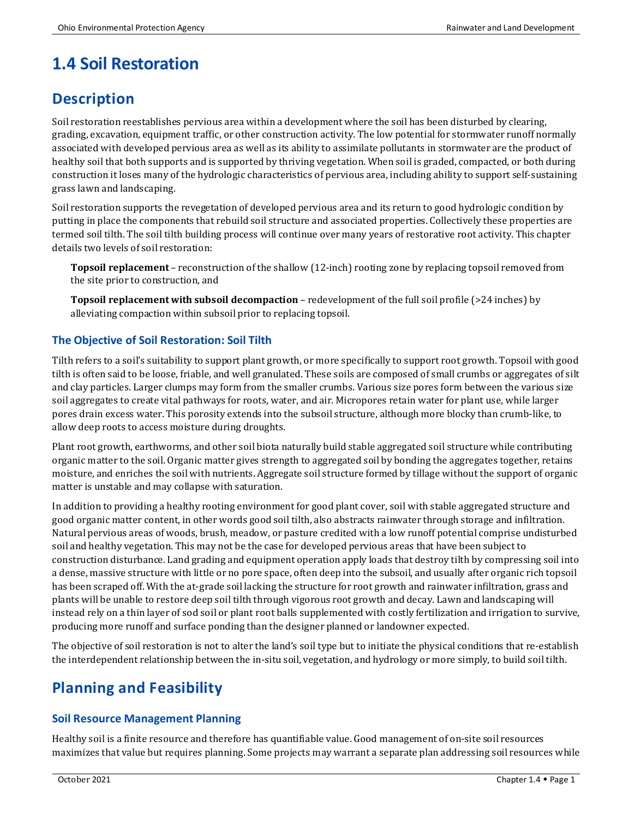# **1.4 Soil Restoration**

## **Description**

Soil restoration reestablishes pervious area within a development where the soil has been disturbed by clearing, grading, excavation, equipment traffic, or other construction activity. The low potential for stormwater runoff normally associated with developed pervious area as well as its ability to assimilate pollutants in stormwater are the product of healthy soil that both supports and is supported by thriving vegetation. When soil is graded, compacted, or both during construction it loses many of the hydrologic characteristics of pervious area, including ability to support self-sustaining grass lawn and landscaping.

Soil restoration supports the revegetation of developed pervious area and its return to good hydrologic condition by putting in place the components that rebuild soil structure and associated properties. Collectively these properties are termed soil tilth. The soil tilth building process will continue over many years of restorative root activity. This chapter details two levels of soil restoration:

**Topsoil replacement** – reconstruction of the shallow (12-inch) rooting zone by replacing topsoil removed from the site prior to construction, and

**Topsoil replacement with subsoil decompaction** – redevelopment of the full soil profile (>24 inches) by alleviating compaction within subsoil prior to replacing topsoil.

### **The Objective of Soil Restoration: Soil Tilth**

Tilth refers to a soil's suitability to support plant growth, or more specifically to support root growth. Topsoil with good tilth is often said to be loose, friable, and well granulated. These soils are composed of small crumbs or aggregates of silt and clay particles. Larger clumps may form from the smaller crumbs. Various size pores form between the various size soil aggregates to create vital pathways for roots, water, and air. Micropores retain water for plant use, while larger pores drain excess water. This porosity extends into the subsoil structure, although more blocky than crumb-like, to allow deep roots to access moisture during droughts.

Plant root growth, earthworms, and other soil biota naturally build stable aggregated soil structure while contributing organic matter to the soil. Organic matter gives strength to aggregated soil by bonding the aggregates together, retains moisture, and enriches the soil with nutrients. Aggregate soil structure formed by tillage without the support of organic matter is unstable and may collapse with saturation.

In addition to providing a healthy rooting environment for good plant cover, soil with stable aggregated structure and good organic matter content, in other words good soil tilth, also abstracts rainwater through storage and infiltration. Natural pervious areas of woods, brush, meadow, or pasture credited with a low runoff potential comprise undisturbed soil and healthy vegetation. This may not be the case for developed pervious areas that have been subject to construction disturbance. Land grading and equipment operation apply loads that destroy tilth by compressing soil into a dense, massive structure with little or no pore space, often deep into the subsoil, and usually after organic rich topsoil has been scraped off. With the at-grade soil lacking the structure for root growth and rainwater infiltration, grass and plants will be unable to restore deep soil tilth through vigorous root growth and decay. Lawn and landscaping will instead rely on a thin layer of sod soil or plant root balls supplemented with costly fertilization and irrigation to survive, producing more runoff and surface ponding than the designer planned or landowner expected.

The objective of soil restoration is not to alter the land's soil type but to initiate the physical conditions that re-establish the interdependent relationship between the in-situ soil, vegetation, and hydrology or more simply, to build soil tilth.

## **Planning and Feasibility**

### **Soil Resource Management Planning**

Healthy soil is a finite resource and therefore has quantifiable value. Good management of on-site soil resources maximizes that value but requires planning. Some projects may warrant a separate plan addressing soil resources while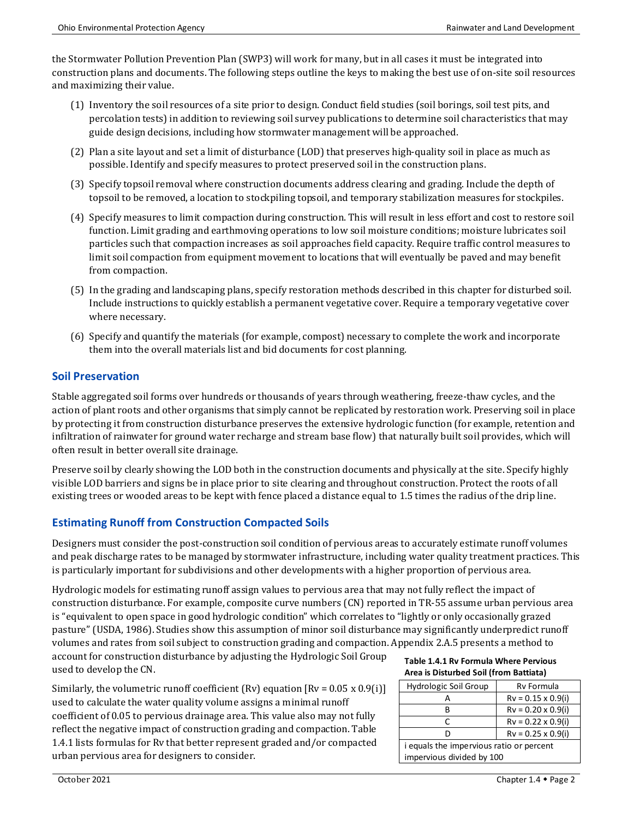the Stormwater Pollution Prevention Plan (SWP3) will work for many, but in all cases it must be integrated into construction plans and documents. The following steps outline the keys to making the best use of on-site soil resources and maximizing their value.

- (1) Inventory the soil resources of a site prior to design. Conduct field studies (soil borings, soil test pits, and percolation tests) in addition to reviewing soil survey publications to determine soil characteristics that may guide design decisions, including how stormwater management will be approached.
- (2) Plan a site layout and set a limit of disturbance (LOD) that preserves high-quality soil in place as much as possible. Identify and specify measures to protect preserved soil in the construction plans.
- (3) Specify topsoil removal where construction documents address clearing and grading. Include the depth of topsoil to be removed, a location to stockpiling topsoil, and temporary stabilization measures for stockpiles.
- (4) Specify measures to limit compaction during construction. This will result in less effort and cost to restore soil function. Limit grading and earthmoving operations to low soil moisture conditions; moisture lubricates soil particles such that compaction increases as soil approaches field capacity. Require traffic control measures to limit soil compaction from equipment movement to locations that will eventually be paved and may benefit from compaction.
- (5) In the grading and landscaping plans, specify restoration methods described in this chapter for disturbed soil. Include instructions to quickly establish a permanent vegetative cover. Require a temporary vegetative cover where necessary.
- (6) Specify and quantify the materials (for example, compost) necessary to complete the work and incorporate them into the overall materials list and bid documents for cost planning.

#### **Soil Preservation**

Stable aggregated soil forms over hundreds or thousands of years through weathering, freeze-thaw cycles, and the action of plant roots and other organisms that simply cannot be replicated by restoration work. Preserving soil in place by protecting it from construction disturbance preserves the extensive hydrologic function (for example, retention and infiltration of rainwater for ground water recharge and stream base flow) that naturally built soil provides, which will often result in better overall site drainage.

Preserve soil by clearly showing the LOD both in the construction documents and physically at the site. Specify highly visible LOD barriers and signs be in place prior to site clearing and throughout construction. Protect the roots of all existing trees or wooded areas to be kept with fence placed a distance equal to 1.5 times the radius of the drip line.

#### **Estimating Runoff from Construction Compacted Soils**

Designers must consider the post-construction soil condition of pervious areas to accurately estimate runoff volumes and peak discharge rates to be managed by stormwater infrastructure, including water quality treatment practices. This is particularly important for subdivisions and other developments with a higher proportion of pervious area.

Hydrologic models for estimating runoff assign values to pervious area that may not fully reflect the impact of construction disturbance. For example, composite curve numbers (CN) reported in TR-55 assume urban pervious area is "equivalent to open space in good hydrologic condition" which correlates to "lightly or only occasionally grazed pasture" (USDA, 1986). Studies show this assumption of minor soil disturbance may significantly underpredict runoff volumes and rates from soil subject to construction grading and compaction. Appendix 2.A.5 presents a method to

account for construction disturbance by adjusting the Hydrologic Soil Group used to develop the CN.

Similarly, the volumetric runoff coefficient (Rv) equation  $[Rv = 0.05 \times 0.9(i)]$ used to calculate the water quality volume assigns a minimal runoff coefficient of 0.05 to pervious drainage area. This value also may not fully reflect the negative impact of construction grading and compaction. Table 1.4.1 lists formulas for Rv that better represent graded and/or compacted urban pervious area for designers to consider.

#### **Table 1.4.1 Rv Formula Where Pervious Area is Disturbed Soil (from Battiata)**

| Hydrologic Soil Group                    | Rv Formula                 |
|------------------------------------------|----------------------------|
|                                          | $Rv = 0.15 \times 0.9$ (i) |
|                                          | $Rv = 0.20 \times 0.9$ (i) |
|                                          | $Rv = 0.22 \times 0.9$ (i) |
|                                          | $Rv = 0.25 \times 0.9$ (i) |
| i equals the impervious ratio or percent |                            |
| impervious divided by 100                |                            |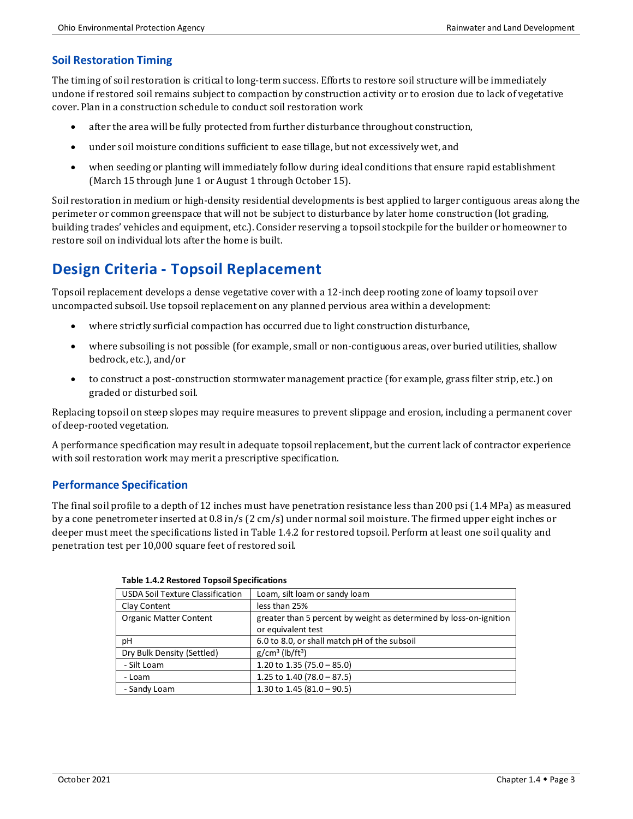#### **Soil Restoration Timing**

The timing of soil restoration is critical to long-term success. Efforts to restore soil structure will be immediately undone if restored soil remains subject to compaction by construction activity or to erosion due to lack of vegetative cover. Plan in a construction schedule to conduct soil restoration work

- after the area will be fully protected from further disturbance throughout construction,
- under soil moisture conditions sufficient to ease tillage, but not excessively wet, and
- when seeding or planting will immediately follow during ideal conditions that ensure rapid establishment (March 15 through June 1 or August 1 through October 15).

Soil restoration in medium or high-density residential developments is best applied to larger contiguous areas along the perimeter or common greenspace that will not be subject to disturbance by later home construction (lot grading, building trades' vehicles and equipment, etc.). Consider reserving a topsoil stockpile for the builder or homeowner to restore soil on individual lots after the home is built.

## **Design Criteria - Topsoil Replacement**

Topsoil replacement develops a dense vegetative cover with a 12-inch deep rooting zone of loamy topsoil over uncompacted subsoil. Use topsoil replacement on any planned pervious area within a development:

- where strictly surficial compaction has occurred due to light construction disturbance,
- where subsoiling is not possible (for example, small or non-contiguous areas, over buried utilities, shallow bedrock, etc.), and/or
- to construct a post-construction stormwater management practice (for example, grass filter strip, etc.) on graded or disturbed soil.

Replacing topsoil on steep slopes may require measures to prevent slippage and erosion, including a permanent cover of deep-rooted vegetation.

A performance specification may result in adequate topsoil replacement, but the current lack of contractor experience with soil restoration work may merit a prescriptive specification.

#### **Performance Specification**

The final soil profile to a depth of 12 inches must have penetration resistance less than 200 psi (1.4 MPa) as measured by a cone penetrometer inserted at 0.8 in/s (2 cm/s) under normal soil moisture. The firmed upper eight inches or deeper must meet the specifications listed in Table 1.4.2 for restored topsoil. Perform at least one soil quality and penetration test per 10,000 square feet of restored soil.

| <b>USDA Soil Texture Classification</b> | Loam, silt loam or sandy loam                                      |
|-----------------------------------------|--------------------------------------------------------------------|
| <b>Clay Content</b>                     | less than 25%                                                      |
| <b>Organic Matter Content</b>           | greater than 5 percent by weight as determined by loss-on-ignition |
|                                         | or equivalent test                                                 |
| рH                                      | 6.0 to 8.0, or shall match pH of the subsoil                       |
| Dry Bulk Density (Settled)              | $g/cm^3$ (lb/ft <sup>3</sup> )                                     |
| - Silt Loam                             | 1.20 to 1.35 (75.0 - 85.0)                                         |
| - Loam                                  | 1.25 to 1.40 (78.0 - 87.5)                                         |
| - Sandy Loam                            | 1.30 to 1.45 (81.0 - 90.5)                                         |

#### **Table 1.4.2 Restored Topsoil Specifications**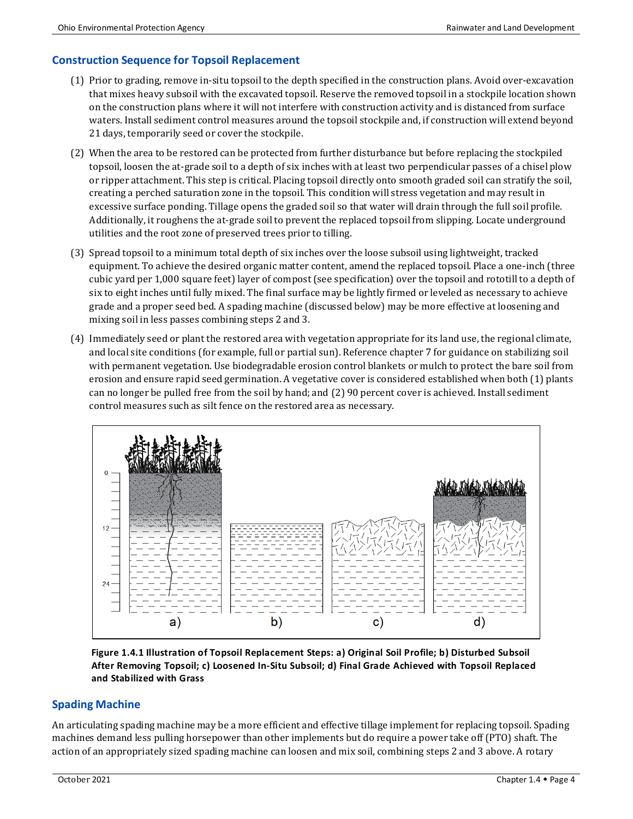### **Construction Sequence for Topsoil Replacement**

- (1) Prior to grading, remove in-situ topsoil to the depth specified in the construction plans. Avoid over-excavation that mixes heavy subsoil with the excavated topsoil. Reserve the removed topsoil in a stockpile location shown on the construction plans where it will not interfere with construction activity and is distanced from surface waters. Install sediment control measures around the topsoil stockpile and, if construction will extend beyond 21 days, temporarily seed or cover the stockpile.
- (2) When the area to be restored can be protected from further disturbance but before replacing the stockpiled topsoil, loosen the at-grade soil to a depth of six inches with at least two perpendicular passes of a chisel plow or ripper attachment. This step is critical. Placing topsoil directly onto smooth graded soil can stratify the soil, creating a perched saturation zone in the topsoil. This condition will stress vegetation and may result in excessive surface ponding. Tillage opens the graded soil so that water will drain through the full soil profile. Additionally, it roughens the at-grade soil to prevent the replaced topsoil from slipping. Locate underground utilities and the root zone of preserved trees prior to tilling.
- (3) Spread topsoil to a minimum total depth of six inches over the loose subsoil using lightweight, tracked equipment. To achieve the desired organic matter content, amend the replaced topsoil. Place a one-inch (three cubic yard per 1,000 square feet) layer of compost (see specification) over the topsoil and rototill to a depth of six to eight inches until fully mixed. The final surface may be lightly firmed or leveled as necessary to achieve grade and a proper seed bed. A spading machine (discussed below) may be more effective at loosening and mixing soil in less passes combining steps 2 and 3.
- (4) Immediately seed or plant the restored area with vegetation appropriate for its land use, the regional climate, and local site conditions (for example, full or partial sun). Reference chapter 7 for guidance on stabilizing soil with permanent vegetation. Use biodegradable erosion control blankets or mulch to protect the bare soil from erosion and ensure rapid seed germination. A vegetative cover is considered established when both (1) plants can no longer be pulled free from the soil by hand; and (2) 90 percent cover is achieved. Install sediment control measures such as silt fence on the restored area as necessary.



**Figure 1.4.1 Illustration of Topsoil Replacement Steps: a) Original Soil Profile; b) Disturbed Subsoil After Removing Topsoil; c) Loosened In-Situ Subsoil; d) Final Grade Achieved with Topsoil Replaced and Stabilized with Grass**

#### **Spading Machine**

An articulating spading machine may be a more efficient and effective tillage implement for replacing topsoil. Spading machines demand less pulling horsepower than other implements but do require a power take off (PTO) shaft. The action of an appropriately sized spading machine can loosen and mix soil, combining steps 2 and 3 above. A rotary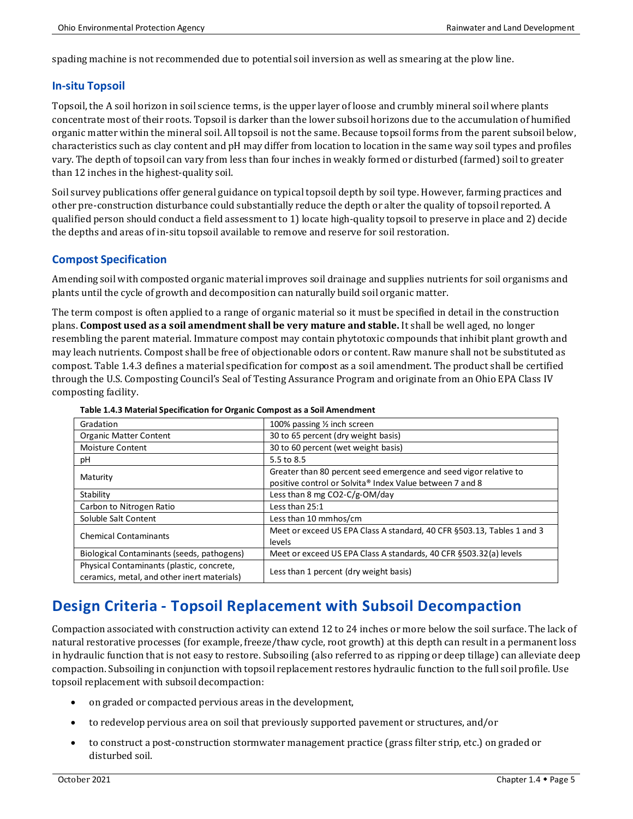spading machine is not recommended due to potential soil inversion as well as smearing at the plow line.

#### **In-situ Topsoil**

Topsoil, the A soil horizon in soil science terms, is the upper layer of loose and crumbly mineral soil where plants concentrate most of their roots. Topsoil is darker than the lower subsoil horizons due to the accumulation of humified organic matter within the mineral soil. All topsoil is not the same. Because topsoil forms from the parent subsoil below, characteristics such as clay content and pH may differ from location to location in the same way soil types and profiles vary. The depth of topsoil can vary from less than four inches in weakly formed or disturbed (farmed) soil to greater than 12 inches in the highest-quality soil.

Soil survey publications offer general guidance on typical topsoil depth by soil type. However, farming practices and other pre-construction disturbance could substantially reduce the depth or alter the quality of topsoil reported. A qualified person should conduct a field assessment to 1) locate high-quality topsoil to preserve in place and 2) decide the depths and areas of in-situ topsoil available to remove and reserve for soil restoration.

#### **Compost Specification**

Amending soil with composted organic material improves soil drainage and supplies nutrients for soil organisms and plants until the cycle of growth and decomposition can naturally build soil organic matter.

The term compost is often applied to a range of organic material so it must be specified in detail in the construction plans. **Compost used as a soil amendment shall be very mature and stable.** It shall be well aged, no longer resembling the parent material. Immature compost may contain phytotoxic compounds that inhibit plant growth and may leach nutrients. Compost shall be free of objectionable odors or content. Raw manure shall not be substituted as compost. Table 1.4.3 defines a material specification for compost as a soil amendment. The product shall be certified through the U.S. Composting Council's Seal of Testing Assurance Program and originate from an Ohio EPA Class IV composting facility.

| Gradation                                                                                | 100% passing 1/2 inch screen                                                                                                  |
|------------------------------------------------------------------------------------------|-------------------------------------------------------------------------------------------------------------------------------|
| <b>Organic Matter Content</b>                                                            | 30 to 65 percent (dry weight basis)                                                                                           |
| <b>Moisture Content</b>                                                                  | 30 to 60 percent (wet weight basis)                                                                                           |
| pH                                                                                       | 5.5 to 8.5                                                                                                                    |
| Maturity                                                                                 | Greater than 80 percent seed emergence and seed vigor relative to<br>positive control or Solvita® Index Value between 7 and 8 |
| Stability                                                                                | Less than 8 mg CO2-C/g-OM/day                                                                                                 |
| Carbon to Nitrogen Ratio                                                                 | Less than 25:1                                                                                                                |
| Soluble Salt Content                                                                     | Less than 10 mmhos/cm                                                                                                         |
| <b>Chemical Contaminants</b>                                                             | Meet or exceed US EPA Class A standard, 40 CFR §503.13, Tables 1 and 3<br>levels                                              |
| Biological Contaminants (seeds, pathogens)                                               | Meet or exceed US EPA Class A standards, 40 CFR §503.32(a) levels                                                             |
| Physical Contaminants (plastic, concrete,<br>ceramics, metal, and other inert materials) | Less than 1 percent (dry weight basis)                                                                                        |

#### **Table 1.4.3 Material Specification for Organic Compost as a Soil Amendment**

## **Design Criteria - Topsoil Replacement with Subsoil Decompaction**

Compaction associated with construction activity can extend 12 to 24 inches or more below the soil surface. The lack of natural restorative processes (for example, freeze/thaw cycle, root growth) at this depth can result in a permanent loss in hydraulic function that is not easy to restore. Subsoiling (also referred to as ripping or deep tillage) can alleviate deep compaction. Subsoiling in conjunction with topsoil replacement restores hydraulic function to the full soil profile. Use topsoil replacement with subsoil decompaction:

- on graded or compacted pervious areas in the development,
- to redevelop pervious area on soil that previously supported pavement or structures, and/or
- to construct a post-construction stormwater management practice (grass filter strip, etc.) on graded or disturbed soil.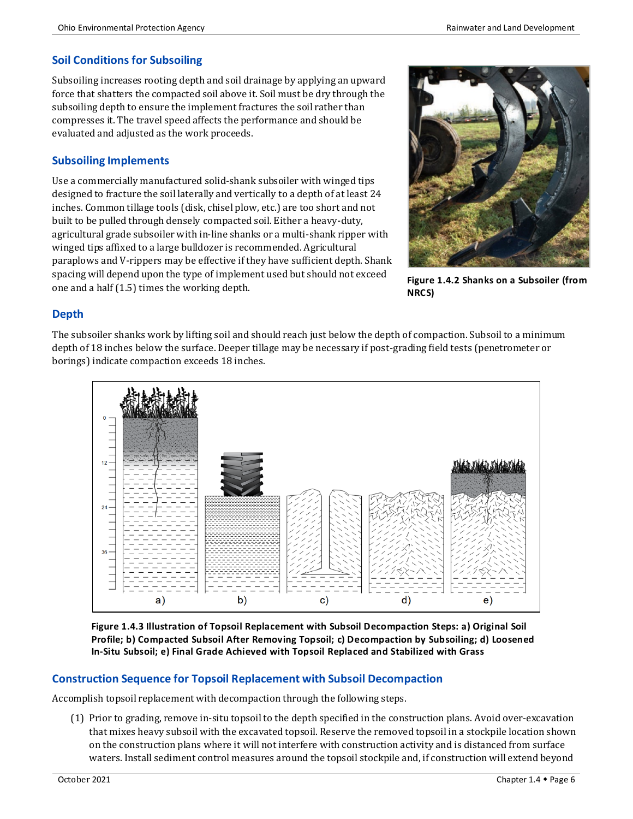#### **Soil Conditions for Subsoiling**

Subsoiling increases rooting depth and soil drainage by applying an upward force that shatters the compacted soil above it. Soil must be dry through the subsoiling depth to ensure the implement fractures the soil rather than compresses it. The travel speed affects the performance and should be evaluated and adjusted as the work proceeds.

#### **Subsoiling Implements**

Use a commercially manufactured solid-shank subsoiler with winged tips designed to fracture the soil laterally and vertically to a depth of at least 24 inches. Common tillage tools (disk, chisel plow, etc.) are too short and not built to be pulled through densely compacted soil. Either a heavy-duty, agricultural grade subsoiler with in-line shanks or a multi-shank ripper with winged tips affixed to a large bulldozer is recommended. Agricultural paraplows and V-rippers may be effective if they have sufficient depth. Shank spacing will depend upon the type of implement used but should not exceed one and a half (1.5) times the working depth.



**Figure 1.4.2 Shanks on a Subsoiler (from NRCS)**

### **Depth**

The subsoiler shanks work by lifting soil and should reach just below the depth of compaction. Subsoil to a minimum depth of 18 inches below the surface. Deeper tillage may be necessary if post-grading field tests (penetrometer or borings) indicate compaction exceeds 18 inches.



**Figure 1.4.3 Illustration of Topsoil Replacement with Subsoil Decompaction Steps: a) Original Soil Profile; b) Compacted Subsoil After Removing Topsoil; c) Decompaction by Subsoiling; d) Loosened In-Situ Subsoil; e) Final Grade Achieved with Topsoil Replaced and Stabilized with Grass**

#### **Construction Sequence for Topsoil Replacement with Subsoil Decompaction**

Accomplish topsoil replacement with decompaction through the following steps.

(1) Prior to grading, remove in-situ topsoil to the depth specified in the construction plans. Avoid over-excavation that mixes heavy subsoil with the excavated topsoil. Reserve the removed topsoil in a stockpile location shown on the construction plans where it will not interfere with construction activity and is distanced from surface waters. Install sediment control measures around the topsoil stockpile and, if construction will extend beyond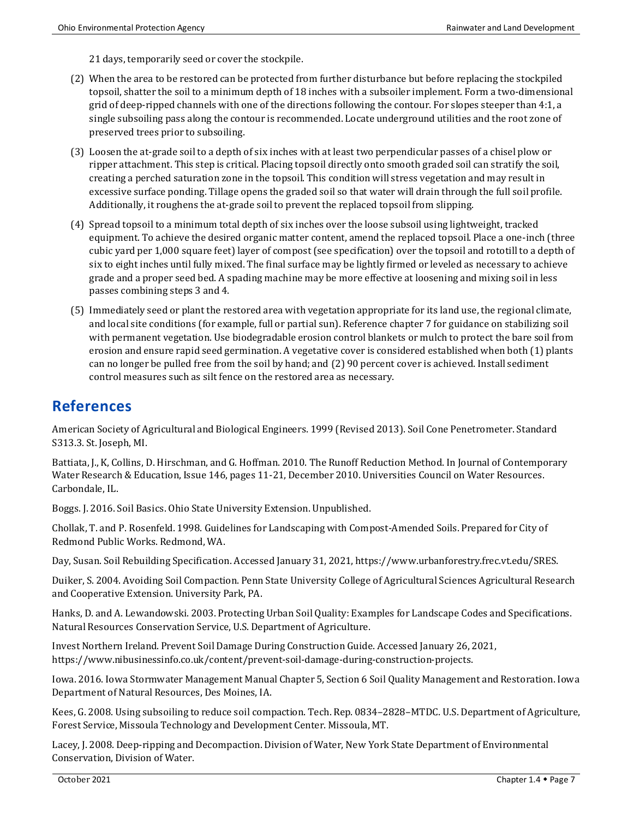21 days, temporarily seed or cover the stockpile.

- (2) When the area to be restored can be protected from further disturbance but before replacing the stockpiled topsoil, shatter the soil to a minimum depth of 18 inches with a subsoiler implement. Form a two-dimensional grid of deep-ripped channels with one of the directions following the contour. For slopes steeper than 4:1, a single subsoiling pass along the contour is recommended. Locate underground utilities and the root zone of preserved trees prior to subsoiling.
- (3) Loosen the at-grade soil to a depth of six inches with at least two perpendicular passes of a chisel plow or ripper attachment. This step is critical. Placing topsoil directly onto smooth graded soil can stratify the soil, creating a perched saturation zone in the topsoil. This condition will stress vegetation and may result in excessive surface ponding. Tillage opens the graded soil so that water will drain through the full soil profile. Additionally, it roughens the at-grade soil to prevent the replaced topsoil from slipping.
- (4) Spread topsoil to a minimum total depth of six inches over the loose subsoil using lightweight, tracked equipment. To achieve the desired organic matter content, amend the replaced topsoil. Place a one-inch (three cubic yard per 1,000 square feet) layer of compost (see specification) over the topsoil and rototill to a depth of six to eight inches until fully mixed. The final surface may be lightly firmed or leveled as necessary to achieve grade and a proper seed bed. A spading machine may be more effective at loosening and mixing soil in less passes combining steps 3 and 4.
- (5) Immediately seed or plant the restored area with vegetation appropriate for its land use, the regional climate, and local site conditions (for example, full or partial sun). Reference chapter 7 for guidance on stabilizing soil with permanent vegetation. Use biodegradable erosion control blankets or mulch to protect the bare soil from erosion and ensure rapid seed germination. A vegetative cover is considered established when both (1) plants can no longer be pulled free from the soil by hand; and (2) 90 percent cover is achieved. Install sediment control measures such as silt fence on the restored area as necessary.

### **References**

American Society of Agricultural and Biological Engineers. 1999 (Revised 2013). Soil Cone Penetrometer. Standard S313.3. St. Joseph, MI.

Battiata, J., K, Collins, D. Hirschman, and G. Hoffman. 2010. The Runoff Reduction Method. In Journal of Contemporary Water Research & Education, Issue 146, pages 11-21, December 2010. Universities Council on Water Resources. Carbondale, IL.

Boggs. J. 2016. Soil Basics. Ohio State University Extension. Unpublished.

Chollak, T. and P. Rosenfeld. 1998. Guidelines for Landscaping with Compost-Amended Soils. Prepared for City of Redmond Public Works. Redmond, WA.

Day, Susan. Soil Rebuilding Specification. Accessed January 31, 2021, https://www.urbanforestry.frec.vt.edu/SRES.

Duiker, S. 2004. Avoiding Soil Compaction. Penn State University College of Agricultural Sciences Agricultural Research and Cooperative Extension. University Park, PA.

Hanks, D. and A. Lewandowski. 2003. Protecting Urban Soil Quality: Examples for Landscape Codes and Specifications. Natural Resources Conservation Service, U.S. Department of Agriculture.

Invest Northern Ireland. Prevent Soil Damage During Construction Guide. Accessed January 26, 2021, https://www.nibusinessinfo.co.uk/content/prevent-soil-damage-during-construction-projects.

Iowa. 2016. Iowa Stormwater Management Manual Chapter 5, Section 6 Soil Quality Management and Restoration. Iowa Department of Natural Resources, Des Moines, IA.

Kees, G. 2008. Using subsoiling to reduce soil compaction. Tech. Rep. 0834–2828–MTDC. U.S. Department of Agriculture, Forest Service, Missoula Technology and Development Center. Missoula, MT.

Lacey, J. 2008. Deep-ripping and Decompaction. Division of Water, New York State Department of Environmental Conservation, Division of Water.